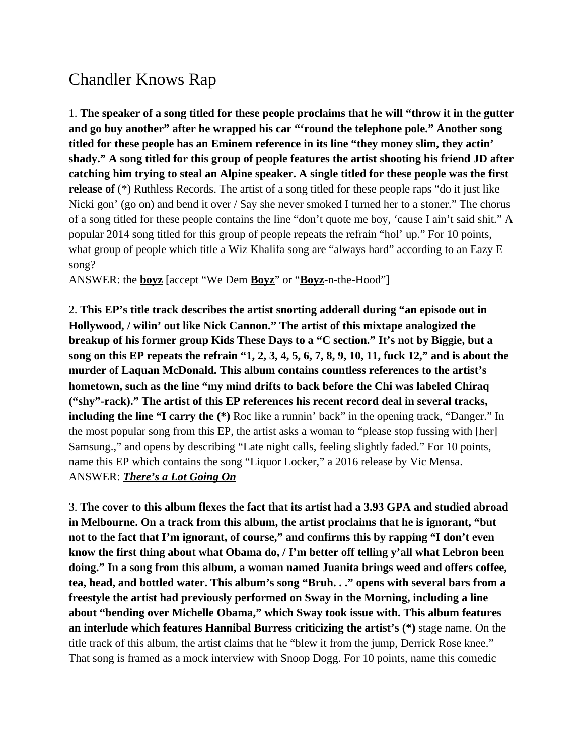## Chandler Knows Rap

1. **The speaker of a song titled for these people proclaims that he will "throw it in the gutter and go buy another" after he wrapped his car "'round the telephone pole." Another song titled for these people has an Eminem reference in its line "they money slim, they actin' shady." A song titled for this group of people features the artist shooting his friend JD after catching him trying to steal an Alpine speaker. A single titled for these people was the first release of** (\*) Ruthless Records. The artist of a song titled for these people raps "do it just like Nicki gon' (go on) and bend it over / Say she never smoked I turned her to a stoner." The chorus of a song titled for these people contains the line "don't quote me boy, 'cause I ain't said shit." A popular 2014 song titled for this group of people repeats the refrain "hol' up." For 10 points, what group of people which title a Wiz Khalifa song are "always hard" according to an Eazy E song?

ANSWER: the **boyz** [accept "We Dem **Boyz**" or "**Boyz**-n-the-Hood"]

2. **This EP's title track describes the artist snorting adderall during "an episode out in Hollywood, / wilin' out like Nick Cannon." The artist of this mixtape analogized the breakup of his former group Kids These Days to a "C section." It's not by Biggie, but a song on this EP repeats the refrain "1, 2, 3, 4, 5, 6, 7, 8, 9, 10, 11, fuck 12," and is about the murder of Laquan McDonald. This album contains countless references to the artist's hometown, such as the line "my mind drifts to back before the Chi was labeled Chiraq ("shy"-rack)." The artist of this EP references his recent record deal in several tracks, including the line "I carry the (\*)** Roc like a runnin' back" in the opening track, "Danger." In the most popular song from this EP, the artist asks a woman to "please stop fussing with [her] Samsung.," and opens by describing "Late night calls, feeling slightly faded." For 10 points, name this EP which contains the song "Liquor Locker," a 2016 release by Vic Mensa. ANSWER: *There's a Lot Going On*

3. **The cover to this album flexes the fact that its artist had a 3.93 GPA and studied abroad in Melbourne. On a track from this album, the artist proclaims that he is ignorant, "but not to the fact that I'm ignorant, of course," and confirms this by rapping "I don't even know the first thing about what Obama do, / I'm better off telling y'all what Lebron been doing." In a song from this album, a woman named Juanita brings weed and offers coffee, tea, head, and bottled water. This album's song "Bruh. . ." opens with several bars from a freestyle the artist had previously performed on Sway in the Morning, including a line about "bending over Michelle Obama," which Sway took issue with. This album features an interlude which features Hannibal Burress criticizing the artist's (\*)** stage name. On the title track of this album, the artist claims that he "blew it from the jump, Derrick Rose knee." That song is framed as a mock interview with Snoop Dogg. For 10 points, name this comedic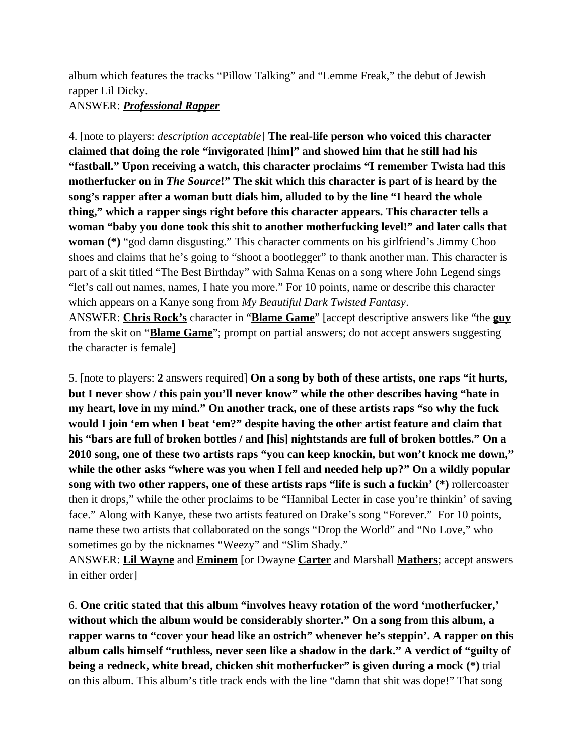album which features the tracks "Pillow Talking" and "Lemme Freak," the debut of Jewish rapper Lil Dicky.

## ANSWER: *Professional Rapper*

4. [note to players: *description acceptable*] **The real-life person who voiced this character claimed that doing the role "invigorated [him]" and showed him that he still had his "fastball." Upon receiving a watch, this character proclaims "I remember Twista had this motherfucker on in** *The Source***!" The skit which this character is part of is heard by the song's rapper after a woman butt dials him, alluded to by the line "I heard the whole thing," which a rapper sings right before this character appears. This character tells a woman "baby you done took this shit to another motherfucking level!" and later calls that woman (\*)** "god damn disgusting." This character comments on his girlfriend's Jimmy Choo shoes and claims that he's going to "shoot a bootlegger" to thank another man. This character is part of a skit titled "The Best Birthday" with Salma Kenas on a song where John Legend sings "let's call out names, names, I hate you more." For 10 points, name or describe this character which appears on a Kanye song from *My Beautiful Dark Twisted Fantasy*. ANSWER: **Chris Rock's** character in "**Blame Game**" [accept descriptive answers like "the **guy**

from the skit on "**Blame Game**"; prompt on partial answers; do not accept answers suggesting the character is female]

5. [note to players: **2** answers required] **On a song by both of these artists, one raps "it hurts, but I never show / this pain you'll never know" while the other describes having "hate in my heart, love in my mind." On another track, one of these artists raps "so why the fuck would I join 'em when I beat 'em?" despite having the other artist feature and claim that his "bars are full of broken bottles / and [his] nightstands are full of broken bottles." On a 2010 song, one of these two artists raps "you can keep knockin, but won't knock me down," while the other asks "where was you when I fell and needed help up?" On a wildly popular song with two other rappers, one of these artists raps "life is such a fuckin' (\*)** rollercoaster then it drops," while the other proclaims to be "Hannibal Lecter in case you're thinkin' of saving face." Along with Kanye, these two artists featured on Drake's song "Forever." For 10 points, name these two artists that collaborated on the songs "Drop the World" and "No Love," who sometimes go by the nicknames "Weezy" and "Slim Shady."

ANSWER: **Lil Wayne** and **Eminem** [or Dwayne **Carter** and Marshall **Mathers**; accept answers in either order]

6. **One critic stated that this album "involves heavy rotation of the word 'motherfucker,' without which the album would be considerably shorter." On a song from this album, a rapper warns to "cover your head like an ostrich" whenever he's steppin'. A rapper on this album calls himself "ruthless, never seen like a shadow in the dark." A verdict of "guilty of being a redneck, white bread, chicken shit motherfucker" is given during a mock (\*)** trial on this album. This album's title track ends with the line "damn that shit was dope!" That song